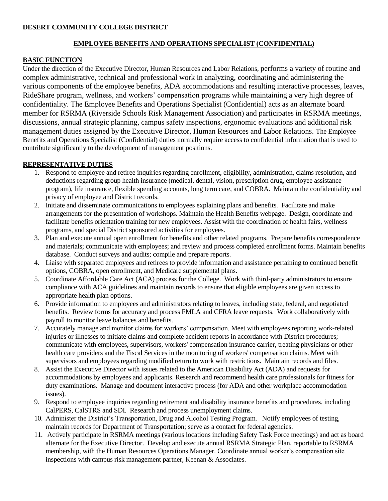### **DESERT COMMUNITY COLLEGE DISTRICT**

# **EMPLOYEE BENEFITS AND OPERATIONS SPECIALIST (CONFIDENTIAL)**

# **BASIC FUNCTION**

Under the direction of the Executive Director, Human Resources and Labor Relations, performs a variety of routine and complex administrative, technical and professional work in analyzing, coordinating and administering the various components of the employee benefits, ADA accommodations and resulting interactive processes, leaves, RideShare program, wellness, and workers' compensation programs while maintaining a very high degree of confidentiality. The Employee Benefits and Operations Specialist (Confidential) acts as an alternate board member for RSRMA (Riverside Schools Risk Management Association) and participates in RSRMA meetings, discussions, annual strategic planning, campus safety inspections, ergonomic evaluations and additional risk management duties assigned by the Executive Director, Human Resources and Labor Relations. The Employee Benefits and Operations Specialist (Confidential) duties normally require access to confidential information that is used to contribute significantly to the development of management positions.

# **REPRESENTATIVE DUTIES**

- 1. Respond to employee and retiree inquiries regarding enrollment, eligibility, administration, claims resolution, and deductions regarding group health insurance (medical, dental, vision, prescription drug, employee assistance program), life insurance, flexible spending accounts, long term care, and COBRA. Maintain the confidentiality and privacy of employee and District records.
- 2. Initiate and disseminate communications to employees explaining plans and benefits. Facilitate and make arrangements for the presentation of workshops. Maintain the Health Benefits webpage. Design, coordinate and facilitate benefits orientation training for new employees. Assist with the coordination of health fairs, wellness programs, and special District sponsored activities for employees.
- 3. Plan and execute annual open enrollment for benefits and other related programs. Prepare benefits correspondence and materials; communicate with employees; and review and process completed enrollment forms. Maintain benefits database. Conduct surveys and audits; compile and prepare reports.
- 4. Liaise with separated employees and retirees to provide information and assistance pertaining to continued benefit options, COBRA, open enrollment, and Medicare supplemental plans.
- 5. Coordinate Affordable Care Act (ACA) process for the College. Work with third-party administrators to ensure compliance with ACA guidelines and maintain records to ensure that eligible employees are given access to appropriate health plan options.
- 6. Provide information to employees and administrators relating to leaves, including state, federal, and negotiated benefits. Review forms for accuracy and process FMLA and CFRA leave requests. Work collaboratively with payroll to monitor leave balances and benefits.
- 7. Accurately manage and monitor claims for workers' compensation. Meet with employees reporting work-related injuries or illnesses to initiate claims and complete accident reports in accordance with District procedures; communicate with employees, supervisors, workers' compensation insurance carrier, treating physicians or other health care providers and the Fiscal Services in the monitoring of workers' compensation claims. Meet with supervisors and employees regarding modified return to work with restrictions. Maintain records and files.
- 8. Assist the Executive Director with issues related to the American Disability Act (ADA) and requests for accommodations by employees and applicants. Research and recommend health care professionals for fitness for duty examinations. Manage and document interactive process (for ADA and other workplace accommodation issues).
- 9. Respond to employee inquiries regarding retirement and disability insurance benefits and procedures, including CalPERS, CalSTRS and SDI. Research and process unemployment claims.
- 10. Administer the District's Transportation, Drug and Alcohol Testing Program. Notify employees of testing, maintain records for Department of Transportation; serve as a contact for federal agencies.
- 11. Actively participate in RSRMA meetings (various locations including Safety Task Force meetings) and act as board alternate for the Executive Director. Develop and execute annual RSRMA Strategic Plan, reportable to RSRMA membership, with the Human Resources Operations Manager. Coordinate annual worker's compensation site inspections with campus risk management partner, Keenan & Associates.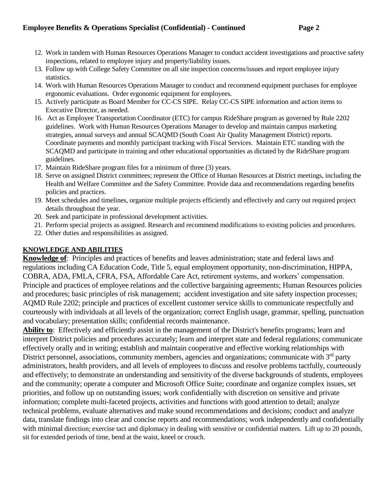- 12. Work in tandem with Human Resources Operations Manager to conduct accident investigations and proactive safety inspections, related to employee injury and property/liability issues.
- 13. Follow up with College Safety Committee on all site inspection concerns/issues and report employee injury statistics.
- 14. Work with Human Resources Operations Manager to conduct and recommend equipment purchases for employee ergonomic evaluations. Order ergonomic equipment for employees.
- 15. Actively participate as Board Member for CC-CS SIPE. Relay CC-CS SIPE information and action items to Executive Director, as needed.
- 16. Act as Employee Transportation Coordinator (ETC) for campus RideShare program as governed by Rule 2202 guidelines. Work with Human Resources Operations Manager to develop and maintain campus marketing strategies, annual surveys and annual SCAQMD (South Coast Air Quality Management District) reports. Coordinate payments and monthly participant tracking with Fiscal Services. Maintain ETC standing with the SCAQMD and participate in training and other educational opportunities as dictated by the RideShare program guidelines.
- 17. Maintain RideShare program files for a minimum of three (3) years.
- 18. Serve on assigned District committees; represent the Office of Human Resources at District meetings, including the Health and Welfare Committee and the Safety Committee. Provide data and recommendations regarding benefits policies and practices.
- 19. Meet schedules and timelines, organize multiple projects efficiently and effectively and carry out required project details throughout the year.
- 20. Seek and participate in professional development activities.
- 21. Perform special projects as assigned. Research and recommend modifications to existing policies and procedures.
- 22. Other duties and responsibilities as assigned.

# **KNOWLEDGE AND ABILITIES**

**Knowledge of**: Principles and practices of benefits and leaves administration; state and federal laws and regulations including CA Education Code, Title 5, equal employment opportunity, non-discrimination, HIPPA, COBRA, ADA, FMLA, CFRA, FSA, Affordable Care Act, retirement systems, and workers' compensation. Principle and practices of employee relations and the collective bargaining agreements; Human Resources policies and procedures; basic principles of risk management; accident investigation and site safety inspection processes; AQMD Rule 2202; principle and practices of excellent customer service skills to communicate respectfully and courteously with individuals at all levels of the organization; correct English usage, grammar, spelling, punctuation and vocabulary; presentation skills; confidential records maintenance.

**Ability to**: Effectively and efficiently assist in the management of the District's benefits programs; learn and interpret District policies and procedures accurately; learn and interpret state and federal regulations; communicate effectively orally and in writing; establish and maintain cooperative and effective working relationships with District personnel, associations, community members, agencies and organizations; communicate with 3<sup>rd</sup> party administrators, health providers, and all levels of employees to discuss and resolve problems tactfully, courteously and effectively; to demonstrate an understanding and sensitivity of the diverse backgrounds of students, employees and the community; operate a computer and Microsoft Office Suite; coordinate and organize complex issues, set priorities, and follow up on outstanding issues; work confidentially with discretion on sensitive and private information; complete multi-faceted projects, activities and functions with good attention to detail; analyze technical problems, evaluate alternatives and make sound recommendations and decisions; conduct and analyze data, translate findings into clear and concise reports and recommendations; work independently and confidentially with minimal direction; exercise tact and diplomacy in dealing with sensitive or confidential matters. Lift up to 20 pounds, sit for extended periods of time, bend at the waist, kneel or crouch.